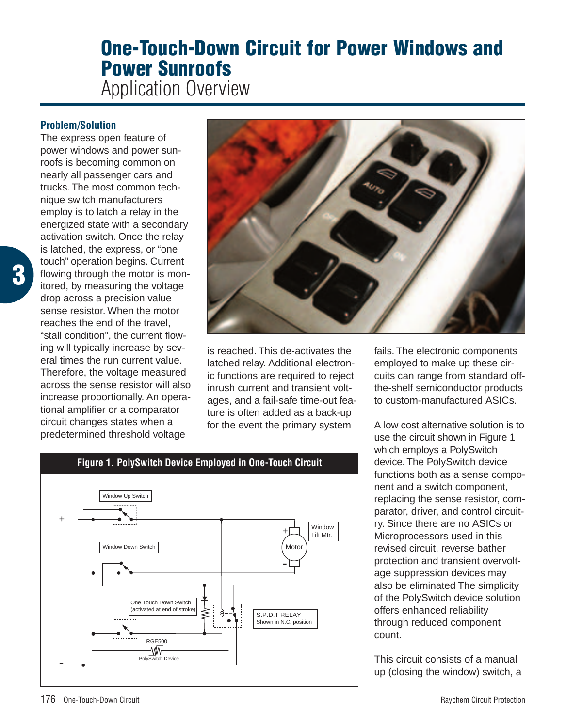# **One-Touch-Down Circuit for Power Windows and Power Sunroofs**

Application Overview

## **Problem/Solution**

The express open feature of power windows and power sunroofs is becoming common on nearly all passenger cars and trucks. The most common technique switch manufacturers employ is to latch a relay in the energized state with a secondary activation switch. Once the relay is latched, the express, or "one touch" operation begins. Current flowing through the motor is monitored, by measuring the voltage drop across a precision value sense resistor. When the motor reaches the end of the travel, "stall condition", the current flowing will typically increase by several times the run current value. Therefore, the voltage measured across the sense resistor will also increase proportionally. An operational amplifier or a comparator circuit changes states when a predetermined threshold voltage



is reached. This de-activates the latched relay. Additional electronic functions are required to reject inrush current and transient voltages, and a fail-safe time-out feature is often added as a back-up for the event the primary system

fails. The electronic components employed to make up these circuits can range from standard offthe-shelf semiconductor products to custom-manufactured ASICs.

A low cost alternative solution is to use the circuit shown in Figure 1 which employs a PolySwitch device.The PolySwitch device functions both as a sense component and a switch component, replacing the sense resistor, comparator, driver, and control circuitry. Since there are no ASICs or Microprocessors used in this revised circuit, reverse bather protection and transient overvoltage suppression devices may also be eliminated The simplicity of the PolySwitch device solution offers enhanced reliability through reduced component count.

This circuit consists of a manual up (closing the window) switch, a



PolySwitch Device

RGE500

₩

-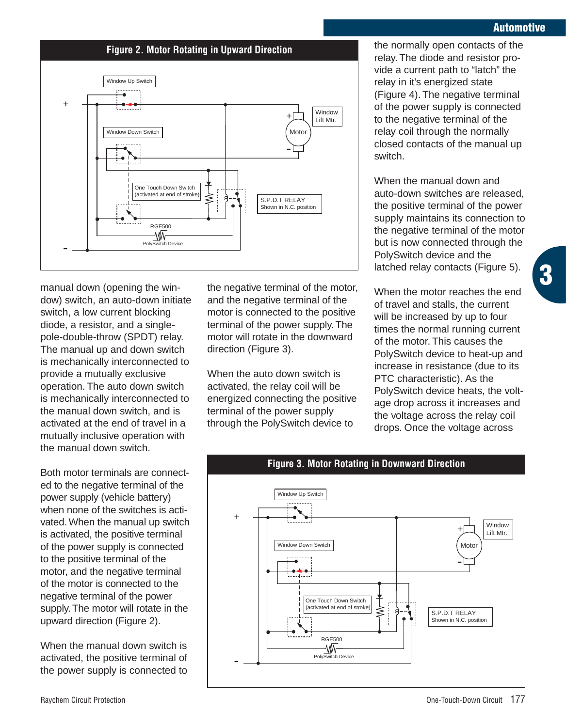## **Automotive**

#### **Figure 2. Motor Rotating in Upward Direction**



manual down (opening the window) switch, an auto-down initiate switch, a low current blocking diode, a resistor, and a singlepole-double-throw (SPDT) relay. The manual up and down switch is mechanically interconnected to provide a mutually exclusive operation. The auto down switch is mechanically interconnected to the manual down switch, and is activated at the end of travel in a mutually inclusive operation with the manual down switch.

Both motor terminals are connected to the negative terminal of the power supply (vehicle battery) when none of the switches is activated. When the manual up switch is activated, the positive terminal of the power supply is connected to the positive terminal of the motor, and the negative terminal of the motor is connected to the negative terminal of the power supply. The motor will rotate in the upward direction (Figure 2).

When the manual down switch is activated, the positive terminal of the power supply is connected to the negative terminal of the motor, and the negative terminal of the motor is connected to the positive terminal of the power supply. The motor will rotate in the downward direction (Figure 3).

When the auto down switch is activated, the relay coil will be energized connecting the positive terminal of the power supply through the PolySwitch device to

the normally open contacts of the relay. The diode and resistor provide a current path to "latch" the relay in it's energized state (Figure 4). The negative terminal of the power supply is connected to the negative terminal of the relay coil through the normally closed contacts of the manual up switch.

When the manual down and auto-down switches are released, the positive terminal of the power supply maintains its connection to the negative terminal of the motor but is now connected through the PolySwitch device and the latched relay contacts (Figure 5).

When the motor reaches the end of travel and stalls, the current will be increased by up to four times the normal running current of the motor. This causes the PolySwitch device to heat-up and increase in resistance (due to its PTC characteristic). As the PolySwitch device heats, the voltage drop across it increases and the voltage across the relay coil drops. Once the voltage across



**3**